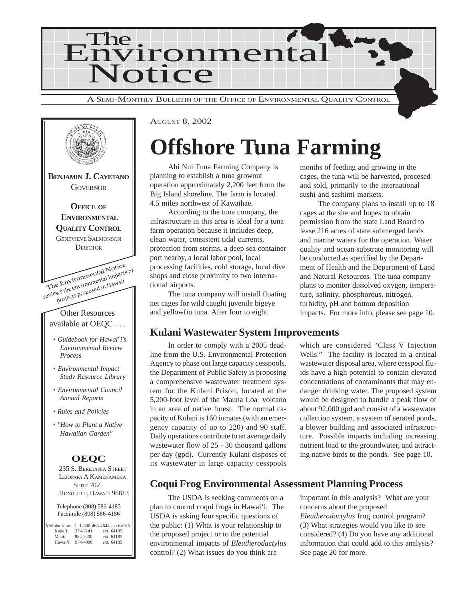



AUGUST 8, 2002

# **Offshore Tuna Farming**

Ahi Nui Tuna Farming Company is planning to establish a tuna growout operation approximately 2,200 feet from the Big Island shoreline. The farm is located 4.5 miles northwest of Kawaihae.

According to the tuna company, the infrastructure in this area is ideal for a tuna farm operation because it includes deep, clean water, consistent tidal currents, protection from storms, a deep sea container port nearby, a local labor pool, local processing facilities, cold storage, local dive shops and close proximity to two international airports.

The tuna company will install floating net cages for wild caught juvenile bigeye and yellowfin tuna. After four to eight

#### **Kulani Wastewater System Improvements**

In order to comply with a 2005 deadline from the U.S. Environmental Protection Agency to phase out large capacity cesspools, the Department of Public Safety is proposing a comprehensive wastewater treatment system for the Kulani Prison, located at the 5,200-foot level of the Mauna Loa volcano in an area of native forest. The normal capacity of Kulani is 160 inmates (with an emergency capacity of up to 220) and 90 staff. Daily operations contribute to an average daily wastewater flow of 25 - 30 thousand gallons per day (gpd). Currently Kulani disposes of its wastewater in large capacity cesspools

months of feeding and growing in the cages, the tuna will be harvested, procesed and sold, primarily to the international sushi and sashimi markets.

The company plans to install up to 18 cages at the site and hopes to obtain permission from the state Land Board to lease 216 acres of state submerged lands and marine waters for the operation. Water quality and ocean substrate monitoring will be conducted as specified by the Department of Health and the Department of Land and Natural Resources. The tuna company plans to monitor dissolved oxygen, temperature, salinity, phosphorous, nitrogen, turbidity, pH and bottom deposition impacts. For more info, please see page 10.

which are considered "Class V Injection Wells." The facility is located in a critical wastewater disposal area, where cesspool fluids have a high potential to contain elevated concentrations of contaminants that may endanger drinking water. The proposed system would be designed to handle a peak flow of about 92,000 gpd and consist of a wastewater collection system, a system of aerated ponds, a blower building and associated infrastructure. Possible impacts including increasing nutrient load to the groundwater, and attracting native birds to the ponds. See page 10.

### **Coqui Frog Environmental Assessment Planning Process**

The USDA is seeking comments on a plan to control coqui frogs in Hawai'i. The USDA is asking four specific questions of the public: (1) What is your relationship to the proposed project or to the potential environmental impacts of *Eleutherodactylus* control? (2) What issues do you think are

important in this analysis? What are your concerns about the proposed *Eleutherodactylus* frog control program? (3) What strategies would you like to see considered? (4) Do you have any additional information that could add to this analysis? See page 20 for more.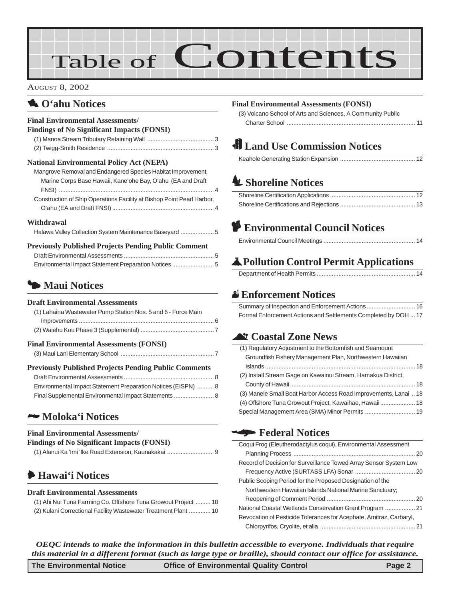# Table of Contents

#### AUGUST 8, 2002

### **1** O'ahu Notices

#### **Final Environmental Assessments/**

| <b>Findings of No Significant Impacts (FONSI)</b> |
|---------------------------------------------------|
|---------------------------------------------------|

#### **National Environmental Policy Act (NEPA)**

| Mangrove Removal and Endangered Species Habitat Improvement,           |  |
|------------------------------------------------------------------------|--|
| Marine Corps Base Hawaii, Kane'ohe Bay, O'ahu (EA and Draft)           |  |
|                                                                        |  |
| Construction of Ship Operations Facility at Bishop Point Pearl Harbor, |  |
|                                                                        |  |

#### **Withdrawal**

| Halawa Valley Collection System Maintenance Baseyard 5 |  |
|--------------------------------------------------------|--|
|                                                        |  |

#### **Previously Published Projects Pending Public Comment**

| Environmental Impact Statement Preparation Notices  5 |  |
|-------------------------------------------------------|--|

### 3 **Maui Notices**

#### **Draft Environmental Assessments**

| (1) Lahaina Wastewater Pump Station Nos. 5 and 6 - Force Main |  |
|---------------------------------------------------------------|--|
|                                                               |  |
|                                                               |  |

#### **Final Environmental Assessments (FONSI)**

#### **Previously Published Projects Pending Public Comments**

| Environmental Impact Statement Preparation Notices (EISPN)  8 |  |
|---------------------------------------------------------------|--|
| Final Supplemental Environmental Impact Statements  8         |  |

#### 2 **Moloka'i Notices**

#### **Final Environmental Assessments/**

| <b>Findings of No Significant Impacts (FONSI)</b> |  |
|---------------------------------------------------|--|
|---------------------------------------------------|--|

|--|--|

## 6 **Hawai'i Notices**

#### **Draft Environmental Assessments**

| (1) Ahi Nui Tuna Farming Co. Offshore Tuna Growout Project  10  |  |
|-----------------------------------------------------------------|--|
| (2) Kulani Correctional Facility Wastewater Treatment Plant  10 |  |

#### **Final Environmental Assessments (FONSI)**

[\(3\) Volcano School of Arts and Sciences, A Community Public](#page-10-0) Charter School [............................................................................. 11](#page-10-0)

## **Land Use Commission Notices**

## R **[Shoreline Notices](#page-11-0)**

## **P Environmental Council Notices**

|--|--|--|

## V**Pollution Control Permit Applications**

|--|

### x **Enforcement Notices**

| Formal Enforcement Actions and Settlements Completed by DOH  17 |  |
|-----------------------------------------------------------------|--|

### ^ **Coastal Zone News**

| (1) Regulatory Adjustment to the Bottomfish and Seamount         |  |
|------------------------------------------------------------------|--|
| Groundfish Fishery Management Plan, Northwestern Hawaiian        |  |
|                                                                  |  |
| (2) Install Stream Gage on Kawainui Stream, Hamakua District,    |  |
|                                                                  |  |
| (3) Manele Small Boat Harbor Access Road Improvements, Lanai  18 |  |
| (4) Offshore Tuna Growout Project, Kawaihae, Hawaii 18           |  |
| Special Management Area (SMA) Minor Permits  19                  |  |

### W **Federal Notices**

| Coqui Frog (Eleutherodactylus coqui), Environmental Assessment      |  |
|---------------------------------------------------------------------|--|
|                                                                     |  |
| Record of Decision for Surveillance Towed Array Sensor System Low   |  |
|                                                                     |  |
| Public Scoping Period for the Proposed Designation of the           |  |
| Northwestern Hawaiian Islands National Marine Sanctuary;            |  |
|                                                                     |  |
| National Coastal Wetlands Conservation Grant Program  21            |  |
| Revocation of Pesticide Tolerances for Acephate, Amitraz, Carbaryl, |  |
|                                                                     |  |
|                                                                     |  |

*OEQC intends to make the information in this bulletin accessible to everyone. Individuals that require this material in a different format (such as large type or braille), should contact our office for assistance.*

| <b>The Environmental Notice</b> | <b>Office of Environmental Quality Control</b> | Page 2 |
|---------------------------------|------------------------------------------------|--------|
|---------------------------------|------------------------------------------------|--------|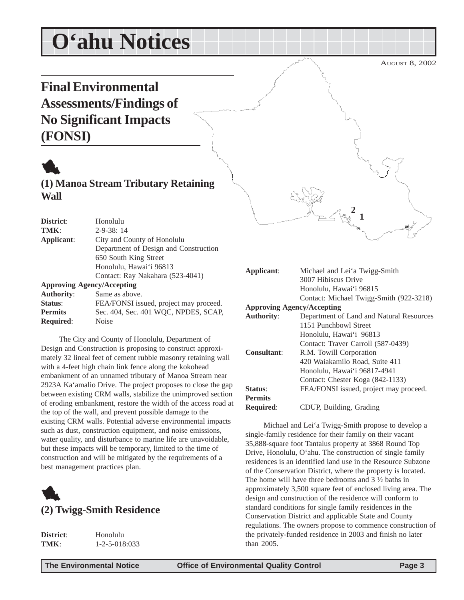# <span id="page-2-0"></span>**O'ahu Notices**

# **Final Environmental Assessments/Findings of No Significant Impacts (FONSI)**



**(1) Manoa Stream Tributary Retaining Wall**

| District:         | Honolulu                               |
|-------------------|----------------------------------------|
| TMK:              | $2 - 9 - 38$ : 14                      |
| Applicant:        | City and County of Honolulu            |
|                   | Department of Design and Construction  |
|                   | 650 South King Street                  |
|                   | Honolulu, Hawai'i 96813                |
|                   | Contact: Ray Nakahara (523-4041)       |
|                   | <b>Approving Agency/Accepting</b>      |
| <b>Authority:</b> | Same as above.                         |
| Status:           | FEA/FONSI issued, project may proceed. |
| <b>Permits</b>    | Sec. 404, Sec. 401 WQC, NPDES, SCAP,   |
| <b>Required:</b>  | Noise                                  |

The City and County of Honolulu, Department of Design and Construction is proposing to construct approximately 32 lineal feet of cement rubble masonry retaining wall with a 4-feet high chain link fence along the kokohead embankment of an unnamed tributary of Manoa Stream near 2923A Ka'amalio Drive. The project proposes to close the gap between existing CRM walls, stabilize the unimproved section of eroding embankment, restore the width of the access road at the top of the wall, and prevent possible damage to the existing CRM walls. Potential adverse environmental impacts such as dust, construction equipment, and noise emissions, water quality, and disturbance to marine life are unavoidable, but these impacts will be temporary, limited to the time of construction and will be mitigated by the requirements of a best management practices plan.



| District: | Honolulu              |
|-----------|-----------------------|
| TMK:      | $1 - 2 - 5 - 018:033$ |

3007 Hibiscus Drive Honolulu, Hawai'i 96815 Contact: Michael Twigg-Smith (922-3218) **Approving Agency/Accepting Authority**: Department of Land and Natural Resources 1151 Punchbowl Street Honolulu, Hawai'i 96813 Contact: Traver Carroll (587-0439) **Consultant**: R.M. Towill Corporation 420 Waiakamilo Road, Suite 411 Honolulu, Hawai'i 96817-4941 Contact: Chester Koga (842-1133) **Status:** FEA/FONSI issued, project may proceed. **Permits**

**2 1**

**Applicant**: Michael and Lei'a Twigg-Smith

**Required**: CDUP, Building, Grading

Michael and Lei'a Twigg-Smith propose to develop a single-family residence for their family on their vacant 35,888-square foot Tantalus property at 3868 Round Top Drive, Honolulu, O'ahu. The construction of single family residences is an identified land use in the Resource Subzone of the Conservation District, where the property is located. The home will have three bedrooms and 3 ½ baths in approximately 3,500 square feet of enclosed living area. The design and construction of the residence will conform to standard conditions for single family residences in the Conservation District and applicable State and County regulations. The owners propose to commence construction of the privately-funded residence in 2003 and finish no later than 2005.

AUGUST 8, 2002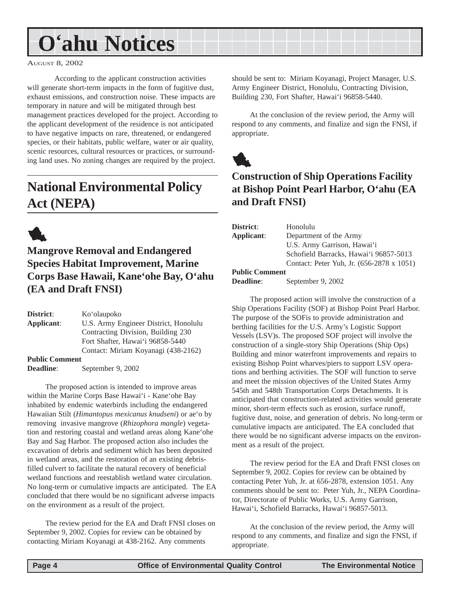# <span id="page-3-0"></span>**O'ahu Notices**

AUGUST 8, 2002

According to the applicant construction activities will generate short-term impacts in the form of fugitive dust, exhaust emissions, and construction noise. These impacts are temporary in nature and will be mitigated through best management practices developed for the project. According to the applicant development of the residence is not anticipated to have negative impacts on rare, threatened, or endangered species, or their habitats, public welfare, water or air quality, scenic resources, cultural resources or practices, or surrounding land uses. No zoning changes are required by the project.

# **National Environmental Policy Act (NEPA)**



**Mangrove Removal and Endangered Species Habitat Improvement, Marine Corps Base Hawaii, Kane'ohe Bay, O'ahu (EA and Draft FNSI)**

**District**: Ko'olaupoko **Applicant**: U.S. Army Engineer District, Honolulu Contracting Division, Building 230 Fort Shafter, Hawai'i 96858-5440 Contact: Miriam Koyanagi (438-2162) **Public Comment Deadline**: September 9, 2002

The proposed action is intended to improve areas within the Marine Corps Base Hawai'i - Kane'ohe Bay inhabited by endemic waterbirds including the endangered Hawaiian Stilt (*Himantopus mexicanus knudseni*) or ae'o by removing invasive mangrove (*Rhizophora mangle*) vegetation and restoring coastal and wetland areas along Kane'ohe Bay and Sag Harbor. The proposed action also includes the excavation of debris and sediment which has been deposited in wetland areas, and the restoration of an existing debrisfilled culvert to facilitate the natural recovery of beneficial wetland functions and reestablish wetland water circulation. No long-term or cumulative impacts are anticipated. The EA concluded that there would be no significant adverse impacts on the environment as a result of the project.

The review period for the EA and Draft FNSI closes on September 9, 2002. Copies for review can be obtained by contacting Miriam Koyanagi at 438-2162. Any comments

should be sent to: Miriam Koyanagi, Project Manager, U.S. Army Engineer District, Honolulu, Contracting Division, Building 230, Fort Shafter, Hawai'i 96858-5440.

At the conclusion of the review period, the Army will respond to any comments, and finalize and sign the FNSI, if appropriate.



## **Construction of Ship Operations Facility at Bishop Point Pearl Harbor, O'ahu (EA and Draft FNSI)**

| <b>District:</b> | Honolulu                                  |
|------------------|-------------------------------------------|
| Applicant:       | Department of the Army                    |
|                  | U.S. Army Garrison, Hawai'i               |
|                  | Schofield Barracks, Hawai'i 96857-5013    |
|                  | Contact: Peter Yuh, Jr. (656-2878 x 1051) |

#### **Public Comment**

**Deadline**: September 9, 2002

The proposed action will involve the construction of a Ship Operations Facility (SOF) at Bishop Point Pearl Harbor. The purpose of the SOFis to provide administration and berthing facilities for the U.S. Army's Logistic Support Vessels (LSV)s. The proposed SOF project will involve the construction of a single-story Ship Operations (Ship Ops) Building and minor waterfront improvements and repairs to existing Bishop Point wharves/piers to support LSV operations and berthing activities. The SOF will function to serve and meet the mission objectives of the United States Army 545th and 548th Transportation Corps Detachments. It is anticipated that construction-related activities would generate minor, short-term effects such as erosion, surface runoff, fugitive dust, noise, and generation of debris. No long-term or cumulative impacts are anticipated. The EA concluded that there would be no significant adverse impacts on the environment as a result of the project.

The review period for the EA and Draft FNSI closes on September 9, 2002. Copies for review can be obtained by contacting Peter Yuh, Jr. at 656-2878, extension 1051. Any comments should be sent to: Peter Yuh, Jr., NEPA Coordinator, Directorate of Public Works, U.S. Army Garrison, Hawai'i, Schofield Barracks, Hawai'i 96857-5013.

At the conclusion of the review period, the Army will respond to any comments, and finalize and sign the FNSI, if appropriate.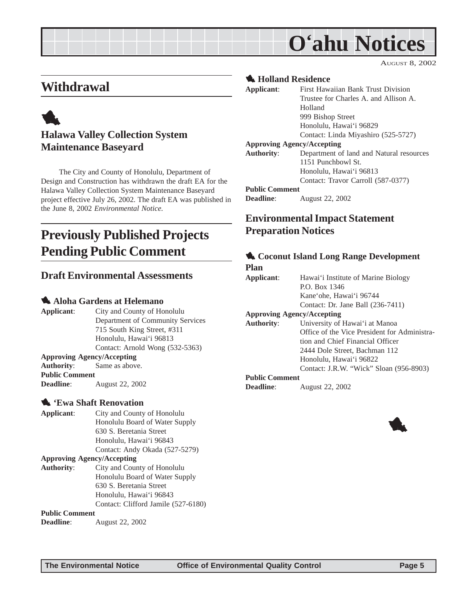# **O'ahu Notices**

AUGUST 8, 2002

## <span id="page-4-0"></span>**Withdrawal**

## 1 **Halawa Valley Collection System Maintenance Baseyard**

The City and County of Honolulu, Department of Design and Construction has withdrawn the draft EA for the Halawa Valley Collection System Maintenance Baseyard project effective July 26, 2002. The draft EA was published in the June 8, 2002 *Environmental Notice.*

## **Previously Published Projects Pending Public Comment**

#### **Draft Environmental Assessments**

#### 1 **Aloha Gardens at Helemano**

**Applicant**: City and County of Honolulu Department of Community Services 715 South King Street, #311 Honolulu, Hawai'i 96813 Contact: Arnold Wong (532-5363) **Approving Agency/Accepting**

**Authority**: Same as above. **Public Comment Deadline**: August 22, 2002

#### 1 **'Ewa Shaft Renovation**

**Applicant**: City and County of Honolulu Honolulu Board of Water Supply 630 S. Beretania Street Honolulu, Hawai'i 96843 Contact: Andy Okada (527-5279)

#### **Approving Agency/Accepting**

**Authority**: City and County of Honolulu Honolulu Board of Water Supply 630 S. Beretania Street Honolulu, Hawai'i 96843 Contact: Clifford Jamile (527-6180)

#### **Public Comment**

**Deadline**: August 22, 2002

#### 1 **Holland Residence**

| Applicant:                        | First Hawaiian Bank Trust Division       |
|-----------------------------------|------------------------------------------|
|                                   | Trustee for Charles A, and Allison A.    |
|                                   | Holland                                  |
|                                   | 999 Bishop Street                        |
|                                   | Honolulu, Hawai'i 96829                  |
|                                   | Contact: Linda Miyashiro (525-5727)      |
| <b>Approving Agency/Accepting</b> |                                          |
| <b>Authority:</b>                 | Department of land and Natural resources |
|                                   | 1151 Punchbowl St.                       |
|                                   | Honolulu, Hawai'i 96813                  |
|                                   | Contact: Travor Carroll (587-0377)       |
| <b>Public Comment</b>             |                                          |
| <b>Deadline:</b>                  | <b>August 22, 2002</b>                   |

## **Environmental Impact Statement Preparation Notices**

#### 1 **Coconut Island Long Range Development**

#### **Plan**

| Applicant:                        | Hawai'i Institute of Marine Biology          |
|-----------------------------------|----------------------------------------------|
|                                   | P.O. Box 1346                                |
|                                   | Kane'ohe, Hawai'i 96744                      |
|                                   | Contact: Dr. Jane Ball (236-7411)            |
| <b>Approving Agency/Accepting</b> |                                              |
| <b>Authority:</b>                 | University of Hawai'i at Manoa               |
|                                   | Office of the Vice President for Administra- |
|                                   | tion and Chief Financial Officer             |
|                                   | 2444 Dole Street, Bachman 112                |
|                                   | Honolulu, Hawai'i 96822                      |
|                                   | Contact: J.R.W. "Wick" Sloan (956-8903)      |
| <b>Public Comment</b>             |                                              |
| Deadline:                         | <b>August 22, 2002</b>                       |
|                                   |                                              |

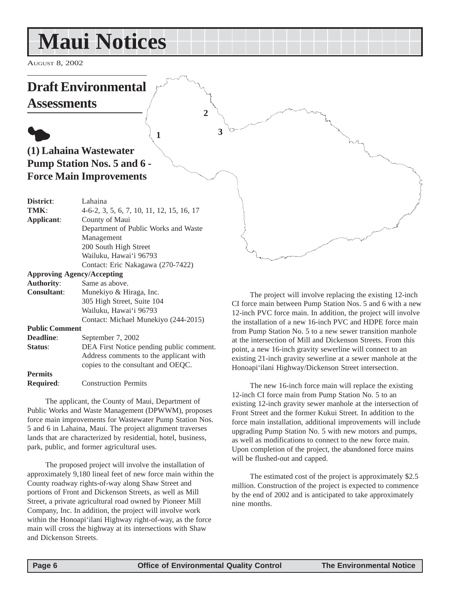# <span id="page-5-0"></span>**Maui Notices**

AUGUST 8, 2002

### **Draft Environmental Assessments**  $\bullet$ **(1) Lahaina Wastewater Pump Station Nos. 5 and 6 - Force Main Improvements District**: Lahaina **TMK**: 4-6-2, 3, 5, 6, 7, 10, 11, 12, 15, 16, 17 **Applicant**: County of Maui Department of Public Works and Waste Management 200 South High Street Wailuku, Hawai'i 96793 Contact: Eric Nakagawa (270-7422) **Approving Agency/Accepting 1 3 2**

| Арргоуше Аесису/Ассерище |                                          |
|--------------------------|------------------------------------------|
| <b>Authority:</b>        | Same as above.                           |
| <b>Consultant:</b>       | Munekiyo & Hiraga, Inc.                  |
|                          | 305 High Street, Suite 104               |
|                          | Wailuku, Hawai'i 96793                   |
|                          | Contact: Michael Munekiyo (244-2015)     |
| <b>Public Comment</b>    |                                          |
| Deadline:                | September 7, 2002                        |
| Status:                  | DEA First Notice pending public comment. |
|                          | Address comments to the englisent with   |

| UUUULLI.         | $P1$ is that increase performance public common |
|------------------|-------------------------------------------------|
|                  | Address comments to the applicant with          |
|                  | copies to the consultant and OEOC.              |
| <b>Permits</b>   |                                                 |
| <b>Required:</b> | <b>Construction Permits</b>                     |

The applicant, the County of Maui, Department of Public Works and Waste Management (DPWWM), proposes force main improvements for Wastewater Pump Station Nos. 5 and 6 in Lahaina, Maui. The project alignment traverses lands that are characterized by residential, hotel, business, park, public, and former agricultural uses.

The proposed project will involve the installation of approximately 9,180 lineal feet of new force main within the County roadway rights-of-way along Shaw Street and portions of Front and Dickenson Streets, as well as Mill Street, a private agricultural road owned by Pioneer Mill Company, Inc. In addition, the project will involve work within the Honoapi'ilani Highway right-of-way, as the force main will cross the highway at its intersections with Shaw and Dickenson Streets.

The project will involve replacing the existing 12-inch CI force main between Pump Station Nos. 5 and 6 with a new 12-inch PVC force main. In addition, the project will involve the installation of a new 16-inch PVC and HDPE force main from Pump Station No. 5 to a new sewer transition manhole at the intersection of Mill and Dickenson Streets. From this point, a new 16-inch gravity sewerline will connect to an existing 21-inch gravity sewerline at a sewer manhole at the Honoapi'ilani Highway/Dickenson Street intersection.

The new 16-inch force main will replace the existing 12-inch CI force main from Pump Station No. 5 to an existing 12-inch gravity sewer manhole at the intersection of Front Street and the former Kukui Street. In addition to the force main installation, additional improvements will include upgrading Pump Station No. 5 with new motors and pumps, as well as modifications to connect to the new force main. Upon completion of the project, the abandoned force mains will be flushed-out and capped.

The estimated cost of the project is approximately \$2.5 million. Construction of the project is expected to commence by the end of 2002 and is anticipated to take approximately nine months.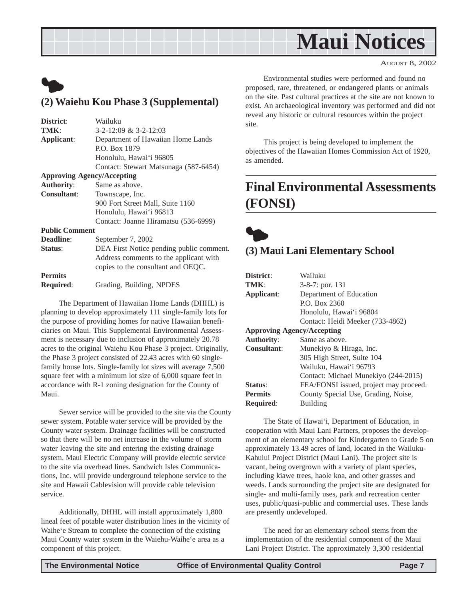# **Maui Notices**

AUGUST 8, 2002

## <span id="page-6-0"></span> $\bullet$ **(2) Waiehu Kou Phase 3 (Supplemental)**

| Wailuku                                  |
|------------------------------------------|
| $3-2-12:09 \& 3-2-12:03$                 |
| Department of Hawaiian Home Lands        |
| P.O. Box 1879                            |
| Honolulu, Hawai'i 96805                  |
| Contact: Stewart Matsunaga (587-6454)    |
| <b>Approving Agency/Accepting</b>        |
| Same as above.                           |
| Townscape, Inc.                          |
| 900 Fort Street Mall, Suite 1160         |
| Honolulu, Hawai'i 96813                  |
| Contact: Joanne Hiramatsu (536-6999)     |
| <b>Public Comment</b>                    |
| September 7, 2002                        |
| DEA First Notice pending public comment. |
| Address comments to the applicant with   |
| copies to the consultant and OEQC.       |
|                                          |
| Grading, Building, NPDES                 |
|                                          |

The Department of Hawaiian Home Lands (DHHL) is planning to develop approximately 111 single-family lots for the purpose of providing homes for native Hawaiian beneficiaries on Maui. This Supplemental Environmental Assessment is necessary due to inclusion of approximately 20.78 acres to the original Waiehu Kou Phase 3 project. Originally, the Phase 3 project consisted of 22.43 acres with 60 singlefamily house lots. Single-family lot sizes will average 7,500 square feet with a minimum lot size of 6,000 square feet in accordance with R-1 zoning designation for the County of Maui.

Sewer service will be provided to the site via the County sewer system. Potable water service will be provided by the County water system. Drainage facilities will be constructed so that there will be no net increase in the volume of storm water leaving the site and entering the existing drainage system. Maui Electric Company will provide electric service to the site via overhead lines. Sandwich Isles Communications, Inc. will provide underground telephone service to the site and Hawaii Cablevision will provide cable television service.

Additionally, DHHL will install approximately 1,800 lineal feet of potable water distribution lines in the vicinity of Waihe'e Stream to complete the connection of the existing Maui County water system in the Waiehu-Waihe'e area as a component of this project.

Environmental studies were performed and found no proposed, rare, threatened, or endangered plants or animals on the site. Past cultural practices at the site are not known to exist. An archaeological inventory was performed and did not reveal any historic or cultural resources within the project site.

This project is being developed to implement the objectives of the Hawaiian Homes Commission Act of 1920, as amended.

## **Final Environmental Assessments (FONSI)**

 $\bullet$ **(3) Maui Lani Elementary School**

| District:                         | Wailuku                                |
|-----------------------------------|----------------------------------------|
| TMK:                              | $3-8-7$ : por. 131                     |
| Applicant:                        | Department of Education                |
|                                   | P.O. Box 2360                          |
|                                   | Honolulu, Hawai'i 96804                |
|                                   | Contact: Heidi Meeker (733-4862)       |
| <b>Approving Agency/Accepting</b> |                                        |
| <b>Authority:</b>                 | Same as above.                         |
| <b>Consultant:</b>                | Munekiyo & Hiraga, Inc.                |
|                                   | 305 High Street, Suite 104             |
|                                   | Wailuku, Hawai'i 96793                 |
|                                   | Contact: Michael Munekiyo (244-2015)   |
| Status:                           | FEA/FONSI issued, project may proceed. |
| <b>Permits</b>                    | County Special Use, Grading, Noise,    |
| <b>Required:</b>                  | <b>Building</b>                        |

The State of Hawai'i, Department of Education, in cooperation with Maui Lani Partners, proposes the development of an elementary school for Kindergarten to Grade 5 on approximately 13.49 acres of land, located in the Wailuku-Kahului Project District (Maui Lani). The project site is vacant, being overgrown with a variety of plant species, including kiawe trees, haole koa, and other grasses and weeds. Lands surrounding the project site are designated for single- and multi-family uses, park and recreation center uses, public/quasi-public and commercial uses. These lands are presently undeveloped.

The need for an elementary school stems from the implementation of the residential component of the Maui Lani Project District. The approximately 3,300 residential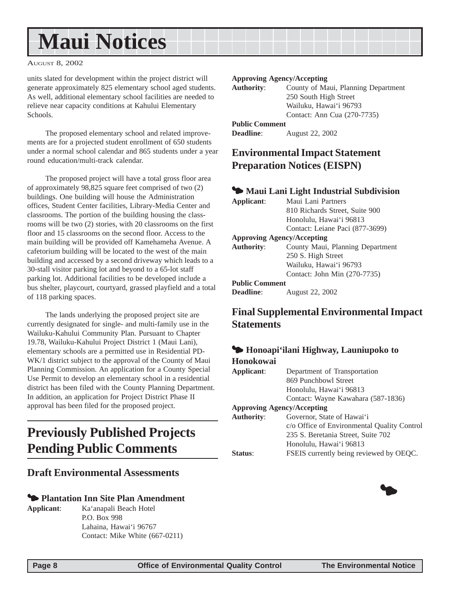# <span id="page-7-0"></span>**Maui Notices**

#### AUGUST 8, 2002

units slated for development within the project district will generate approximately 825 elementary school aged students. As well, additional elementary school facilities are needed to relieve near capacity conditions at Kahului Elementary Schools.

The proposed elementary school and related improvements are for a projected student enrollment of 650 students under a normal school calendar and 865 students under a year round education/multi-track calendar.

The proposed project will have a total gross floor area of approximately 98,825 square feet comprised of two (2) buildings. One building will house the Administration offices, Student Center facilities, Library-Media Center and classrooms. The portion of the building housing the classrooms will be two (2) stories, with 20 classrooms on the first floor and 15 classrooms on the second floor. Access to the main building will be provided off Kamehameha Avenue. A cafetorium building will be located to the west of the main building and accessed by a second driveway which leads to a 30-stall visitor parking lot and beyond to a 65-lot staff parking lot. Additional facilities to be developed include a bus shelter, playcourt, courtyard, grassed playfield and a total of 118 parking spaces.

The lands underlying the proposed project site are currently designated for single- and multi-family use in the Wailuku-Kahului Community Plan. Pursuant to Chapter 19.78, Wailuku-Kahului Project District 1 (Maui Lani), elementary schools are a permitted use in Residential PD-WK/1 district subject to the approval of the County of Maui Planning Commission. An application for a County Special Use Permit to develop an elementary school in a residential district has been filed with the County Planning Department. In addition, an application for Project District Phase II approval has been filed for the proposed project.

## **Previously Published Projects Pending Public Comments**

#### **Draft Environmental Assessments**

#### 3 **Plantation Inn Site Plan Amendment**

**Applicant**: Ka'anapali Beach Hotel P.O. Box 998 Lahaina, Hawai'i 96767 Contact: Mike White (667-0211)

#### **Approving Agency/Accepting**

| <b>Authority:</b>     | County of Maui, Planning Department |
|-----------------------|-------------------------------------|
|                       | 250 South High Street               |
|                       | Wailuku, Hawai'i 96793              |
|                       | Contact: Ann Cua (270-7735)         |
| <b>Public Comment</b> |                                     |

**Deadline**: August 22, 2002

### **Environmental Impact Statement Preparation Notices (EISPN)**

#### 3 **Maui Lani Light Industrial Subdivision**

| Applicant:                        | Maui Lani Partners               |
|-----------------------------------|----------------------------------|
|                                   | 810 Richards Street, Suite 900   |
|                                   | Honolulu, Hawai'i 96813          |
|                                   | Contact: Leiane Paci (877-3699)  |
| <b>Approving Agency/Accepting</b> |                                  |
| <b>Authority:</b>                 | County Maui, Planning Department |
|                                   | 250 S. High Street               |
|                                   | Wailuku, Hawai'i 96793           |
|                                   | Contact: John Min (270-7735)     |
| <b>Public Comment</b>             |                                  |
| <b>Deadline:</b>                  | August 22, 2002                  |

### **Final Supplemental Environmental Impact Statements**

#### 3 **Honoapi'ilani Highway, Launiupoko to Honokowai**

| Applicant:        | Department of Transportation                |
|-------------------|---------------------------------------------|
|                   | 869 Punchbowl Street                        |
|                   | Honolulu, Hawai'i 96813                     |
|                   | Contact: Wayne Kawahara (587-1836)          |
|                   | <b>Approving Agency/Accepting</b>           |
| <b>Authority:</b> | Governor, State of Hawai'i                  |
|                   | c/o Office of Environmental Quality Control |
|                   | 235 S. Beretania Street, Suite 702          |
|                   | Honolulu, Hawai'i 96813                     |
| <b>Status:</b>    | FSEIS currently being reviewed by OEQC.     |

 $\bullet$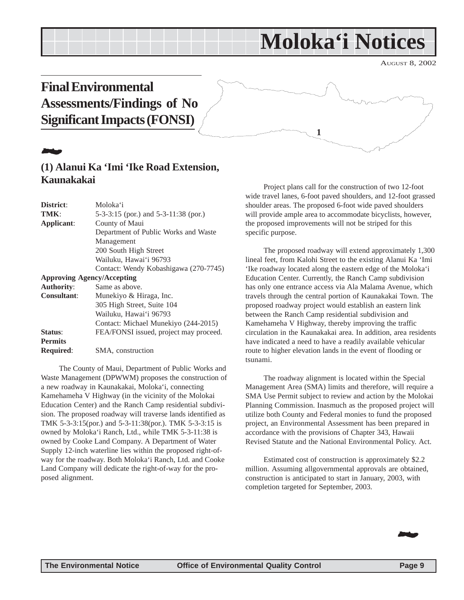## <span id="page-8-0"></span>**Final Environmental Assessments/Findings of No Significant Impacts (FONSI)**

# 22 July 19

### **(1) Alanui Ka 'Imi 'Ike Road Extension, Kaunakakai**

| District:          | Moloka'i                               |
|--------------------|----------------------------------------|
| TMK:               | 5-3-3:15 (por.) and 5-3-11:38 (por.)   |
| Applicant:         | County of Maui                         |
|                    | Department of Public Works and Waste   |
|                    | Management                             |
|                    | 200 South High Street                  |
|                    | Wailuku, Hawai'i 96793                 |
|                    | Contact: Wendy Kobashigawa (270-7745)  |
|                    | <b>Approving Agency/Accepting</b>      |
| <b>Authority:</b>  | Same as above.                         |
| <b>Consultant:</b> | Munekiyo & Hiraga, Inc.                |
|                    | 305 High Street, Suite 104             |
|                    | Wailuku, Hawai'i 96793                 |
|                    | Contact: Michael Munekiyo (244-2015)   |
| Status:            | FEA/FONSI issued, project may proceed. |
| <b>Permits</b>     |                                        |
| <b>Required:</b>   | SMA, construction                      |
|                    |                                        |

The County of Maui, Department of Public Works and Waste Management (DPWWM) proposes the construction of a new roadway in Kaunakakai, Moloka'i, connecting Kamehameha V Highway (in the vicinity of the Molokai Education Center) and the Ranch Camp residential subdivision. The proposed roadway will traverse lands identified as TMK 5-3-3:15(por.) and 5-3-11:38(por.). TMK 5-3-3:15 is owned by Moloka'i Ranch, Ltd., while TMK 5-3-11:38 is owned by Cooke Land Company. A Department of Water Supply 12-inch waterline lies within the proposed right-ofway for the roadway. Both Moloka'i Ranch, Ltd. and Cooke Land Company will dedicate the right-of-way for the proposed alignment.

Project plans call for the construction of two 12-foot wide travel lanes, 6-foot paved shoulders, and 12-foot grassed shoulder areas. The proposed 6-foot wide paved shoulders will provide ample area to accommodate bicyclists, however, the proposed improvements will not be striped for this specific purpose.

**1**

The proposed roadway will extend approximately 1,300 lineal feet, from Kalohi Street to the existing Alanui Ka 'Imi 'Ike roadway located along the eastern edge of the Moloka'i Education Center. Currently, the Ranch Camp subdivision has only one entrance access via Ala Malama Avenue, which travels through the central portion of Kaunakakai Town. The proposed roadway project would establish an eastern link between the Ranch Camp residential subdivision and Kamehameha V Highway, thereby improving the traffic circulation in the Kaunakakai area. In addition, area residents have indicated a need to have a readily available vehicular route to higher elevation lands in the event of flooding or tsunami.

The roadway alignment is located within the Special Management Area (SMA) limits and therefore, will require a SMA Use Permit subject to review and action by the Molokai Planning Commission. Inasmuch as the proposed project will utilize both County and Federal monies to fund the proposed project, an Environmental Assessment has been prepared in accordance with the provisions of Chapter 343, Hawaii Revised Statute and the National Environmental Policy. Act.

Estimated cost of construction is approximately \$2.2 million. Assuming allgovernmental approvals are obtained, construction is anticipated to start in January, 2003, with completion targeted for September, 2003.

22.



AUGUST 8, 2002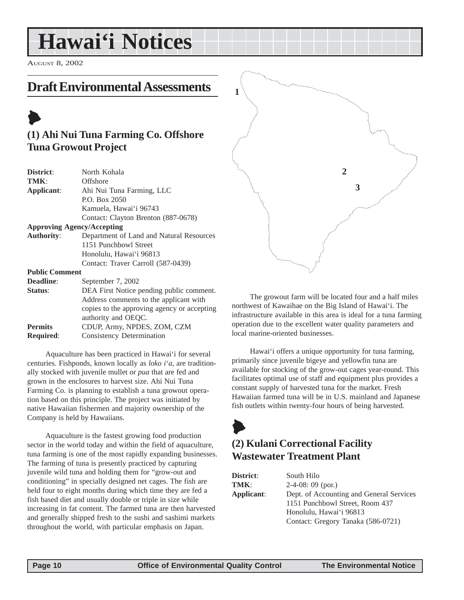# <span id="page-9-0"></span>**Hawai'i Notices**

AUGUST 8, 2002

## **Draft Environmental Assessments**

## $\blacktriangleright$ **(1) Ahi Nui Tuna Farming Co. Offshore Tuna Growout Project**

| District:                         | North Kohala                                |
|-----------------------------------|---------------------------------------------|
| TMK:                              | Offshore                                    |
| Applicant:                        | Ahi Nui Tuna Farming, LLC                   |
|                                   | P.O. Box 2050                               |
|                                   | Kamuela, Hawai'i 96743                      |
|                                   | Contact: Clayton Brenton (887-0678)         |
| <b>Approving Agency/Accepting</b> |                                             |
| <b>Authority:</b>                 | Department of Land and Natural Resources    |
|                                   | 1151 Punchbowl Street                       |
|                                   | Honolulu, Hawai'i 96813                     |
|                                   | Contact: Traver Carroll (587-0439)          |
| <b>Public Comment</b>             |                                             |
| <b>Deadline:</b>                  | September 7, 2002                           |
| Status:                           | DEA First Notice pending public comment.    |
|                                   | Address comments to the applicant with      |
|                                   | copies to the approving agency or accepting |
|                                   | authority and OEQC.                         |
| <b>Permits</b>                    | CDUP, Army, NPDES, ZOM, CZM                 |
| <b>Required:</b>                  | Consistency Determination                   |

Aquaculture has been practiced in Hawai'i for several centuries. Fishponds, known locally as *loko i*'*a*, are traditionally stocked with juvenile mullet or *pua* that are fed and grown in the enclosures to harvest size. Ahi Nui Tuna Farming Co. is planning to establish a tuna growout operation based on this principle. The project was initiated by native Hawaiian fishermen and majority ownership of the Company is held by Hawaiians.

Aquaculture is the fastest growing food production sector in the world today and within the field of aquaculture, tuna farming is one of the most rapidly expanding businesses. The farming of tuna is presently practiced by capturing juvenile wild tuna and holding them for "grow-out and conditioning" in specially designed net cages. The fish are held four to eight months during which time they are fed a fish based diet and usually double or triple in size while increasing in fat content. The farmed tuna are then harvested and generally shipped fresh to the sushi and sashimi markets throughout the world, with particular emphasis on Japan.



The growout farm will be located four and a half miles northwest of Kawaihae on the Big Island of Hawai'i. The infrastructure available in this area is ideal for a tuna farming operation due to the excellent water quality parameters and local marine-oriented businesses.

Hawai'i offers a unique opportunity for tuna farming, primarily since juvenile bigeye and yellowfin tuna are available for stocking of the grow-out cages year-round. This facilitates optimal use of staff and equipment plus provides a constant supply of harvested tuna for the market. Fresh Hawaiian farmed tuna will be in U.S. mainland and Japanese fish outlets within twenty-four hours of being harvested.

# $\blacktriangleright$

## **(2) Kulani Correctional Facility Wastewater Treatment Plant**

| District:  | South Hilo                               |
|------------|------------------------------------------|
| TMK:       | $2-4-08:09$ (por.)                       |
| Applicant: | Dept. of Accounting and General Services |
|            | 1151 Punchbowl Street, Room 437          |
|            | Honolulu, Hawai'i 96813                  |
|            | Contact: Gregory Tanaka (586-0721)       |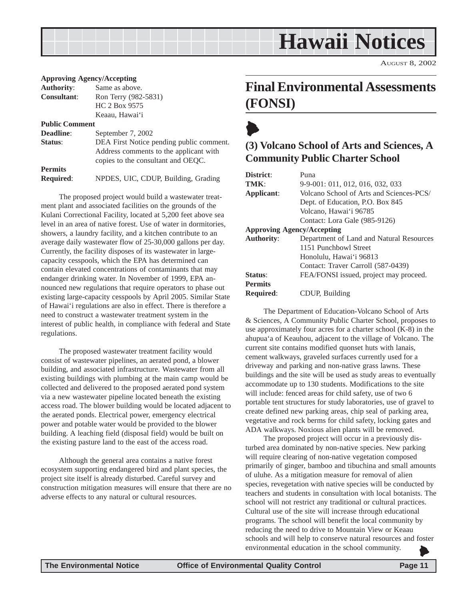# **Hawaii Notices**

AUGUST 8, 2002

#### <span id="page-10-0"></span>**Approving Agency/Accepting**

| <b>Authority:</b>  | Same as above.       |
|--------------------|----------------------|
| <b>Consultant:</b> | Ron Terry (982-5831) |
|                    | HC 2 Box 9575        |
|                    | Keaau, Hawai'i       |
|                    |                      |

#### **Public Comment**

| <b>Deadline:</b> | September 7, 2002                                                            |
|------------------|------------------------------------------------------------------------------|
| Status:          | DEA First Notice pending public comment.                                     |
|                  | Address comments to the applicant with<br>copies to the consultant and OEOC. |
| <b>Permits</b>   |                                                                              |
| <b>Required:</b> | NPDES, UIC, CDUP, Building, Grading                                          |

The proposed project would build a wastewater treatment plant and associated facilities on the grounds of the Kulani Correctional Facility, located at 5,200 feet above sea level in an area of native forest. Use of water in dormitories, showers, a laundry facility, and a kitchen contribute to an average daily wastewater flow of 25-30,000 gallons per day. Currently, the facility disposes of its wastewater in largecapacity cesspools, which the EPA has determined can contain elevated concentrations of contaminants that may endanger drinking water. In November of 1999, EPA announced new regulations that require operators to phase out existing large-capacity cesspools by April 2005. Similar State of Hawai'i regulations are also in effect. There is therefore a need to construct a wastewater treatment system in the interest of public health, in compliance with federal and State regulations.

The proposed wastewater treatment facility would consist of wastewater pipelines, an aerated pond, a blower building, and associated infrastructure. Wastewater from all existing buildings with plumbing at the main camp would be collected and delivered to the proposed aerated pond system via a new wastewater pipeline located beneath the existing access road. The blower building would be located adjacent to the aerated ponds. Electrical power, emergency electrical power and potable water would be provided to the blower building. A leaching field (disposal field) would be built on the existing pasture land to the east of the access road.

Although the general area contains a native forest ecosystem supporting endangered bird and plant species, the project site itself is already disturbed. Careful survey and construction mitigation measures will ensure that there are no adverse effects to any natural or cultural resources.

## **Final Environmental Assessments (FONSI)**

## $\blacklozenge$ **(3) Volcano School of Arts and Sciences, A Community Public Charter School**

| District:                         | Puna                                     |  |  |
|-----------------------------------|------------------------------------------|--|--|
| TMK:                              | 9-9-001: 011, 012, 016, 032, 033         |  |  |
| Applicant:                        | Volcano School of Arts and Sciences-PCS/ |  |  |
|                                   | Dept. of Education, P.O. Box 845         |  |  |
|                                   | Volcano, Hawai'i 96785                   |  |  |
|                                   | Contact: Lora Gale (985-9126)            |  |  |
| <b>Approving Agency/Accepting</b> |                                          |  |  |
| <b>Authority:</b>                 | Department of Land and Natural Resources |  |  |
|                                   | 1151 Punchbowl Street                    |  |  |
|                                   | Honolulu, Hawai'i 96813                  |  |  |
|                                   | Contact: Traver Carroll (587-0439)       |  |  |
| Status:                           | FEA/FONSI issued, project may proceed.   |  |  |
| <b>Permits</b>                    |                                          |  |  |
| <b>Required:</b>                  | CDUP. Building                           |  |  |

The Department of Education-Volcano School of Arts & Sciences, A Community Public Charter School, proposes to use approximately four acres for a charter school (K-8) in the ahupua'a of Keauhou, adjacent to the village of Volcano. The current site contains modified quonset huts with lanais, cement walkways, graveled surfaces currently used for a driveway and parking and non-native grass lawns. These buildings and the site will be used as study areas to eventually accommodate up to 130 students. Modifications to the site will include: fenced areas for child safety, use of two 6 portable tent structures for study laboratories, use of gravel to create defined new parking areas, chip seal of parking area, vegetative and rock berms for child safety, locking gates and ADA walkways. Noxious alien plants will be removed.

The proposed project will occur in a previously disturbed area dominated by non-native species. New parking will require clearing of non-native vegetation composed primarily of ginger, bamboo and tibuchina and small amounts of uluhe. As a mitigation measure for removal of alien species, revegetation with native species will be conducted by teachers and students in consultation with local botanists. The school will not restrict any traditional or cultural practices. Cultural use of the site will increase through educational programs. The school will benefit the local community by reducing the need to drive to Mountain View or Keaau schools and will help to conserve natural resources and foster environmental education in the school community. 6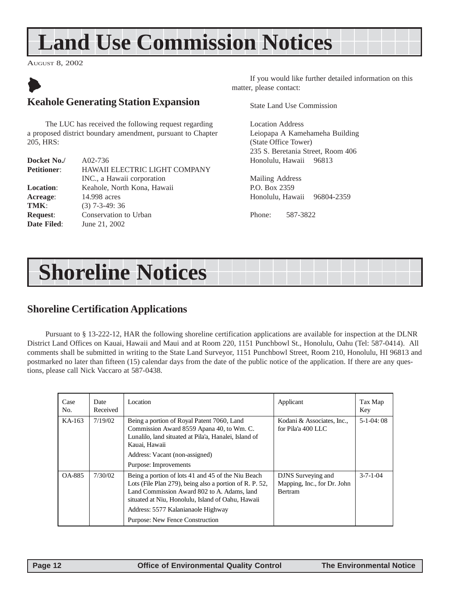# <span id="page-11-0"></span>**Land Use Commission Notices**

AUGUST 8, 2002

## $\blacktriangleright$ **Keahole Generating Station Expansion**

The LUC has received the following request regarding a proposed district boundary amendment, pursuant to Chapter 205, HRS:

| Docket No./        | $A02-736$                            |
|--------------------|--------------------------------------|
| <b>Petitioner:</b> | <b>HAWAII ELECTRIC LIGHT COMPANY</b> |
|                    | INC., a Hawaii corporation           |
| <b>Location:</b>   | Keahole, North Kona, Hawaii          |
| Acreage:           | 14.998 acres                         |
| TMK:               | $(3)$ 7-3-49: 36                     |
| <b>Request:</b>    | Conservation to Urban                |
| Date Filed:        | June 21, 2002                        |

If you would like further detailed information on this matter, please contact:

State Land Use Commission

Location Address Leiopapa A Kamehameha Building (State Office Tower) 235 S. Beretania Street, Room 406 Honolulu, Hawaii 96813

Mailing Address P.O. Box 2359 Honolulu, Hawaii 96804-2359

Phone: 587-3822

# **Shoreline Notices**

### **Shoreline Certification Applications**

Pursuant to § 13-222-12, HAR the following shoreline certification applications are available for inspection at the DLNR District Land Offices on Kauai, Hawaii and Maui and at Room 220, 1151 Punchbowl St., Honolulu, Oahu (Tel: 587-0414). All comments shall be submitted in writing to the State Land Surveyor, 1151 Punchbowl Street, Room 210, Honolulu, HI 96813 and postmarked no later than fifteen (15) calendar days from the date of the public notice of the application. If there are any questions, please call Nick Vaccaro at 587-0438.

| Case<br>No. | Date<br>Received | Location                                                                                                                                                                                                                                                                                   | Applicant                                                           | Tax Map<br>Key   |
|-------------|------------------|--------------------------------------------------------------------------------------------------------------------------------------------------------------------------------------------------------------------------------------------------------------------------------------------|---------------------------------------------------------------------|------------------|
| KA-163      | 7/19/02          | Being a portion of Royal Patent 7060, Land<br>Commission Award 8559 Apana 40, to Wm. C.<br>Lunalilo, land situated at Pila'a, Hanalei, Island of<br>Kauai, Hawaii<br>Address: Vacant (non-assigned)<br>Purpose: Improvements                                                               | Kodani & Associates, Inc.,<br>for Pila'a 400 LLC                    | $5-1-04:08$      |
| OA-885      | 7/30/02          | Being a portion of lots 41 and 45 of the Niu Beach<br>Lots (File Plan 279), being also a portion of R. P. 52,<br>Land Commission Award 802 to A. Adams, land<br>situated at Niu, Honolulu, Island of Oahu, Hawaii<br>Address: 5577 Kalanianaole Highway<br>Purpose: New Fence Construction | DJNS Surveying and<br>Mapping, Inc., for Dr. John<br><b>Bertram</b> | $3 - 7 - 1 - 04$ |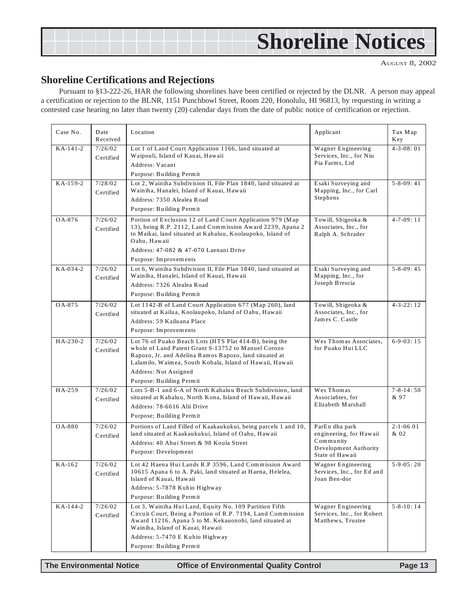# <span id="page-12-0"></span>**Shoreline Notices**

AUGUST 8, 2002

#### **Shoreline Certifications and Rejections**

Pursuant to §13-222-26, HAR the following shorelines have been certified or rejected by the DLNR. A person may appeal a certification or rejection to the BLNR, 1151 Punchbowl Street, Room 220, Honolulu, HI 96813, by requesting in writing a contested case hearing no later than twenty (20) calendar days from the date of public notice of certification or rejection.

| Case No. | Date<br>Received     | Location                                                                                                                                                                                                                                                                                 | Applicant                                                                                          | Tax Map<br>Key               |
|----------|----------------------|------------------------------------------------------------------------------------------------------------------------------------------------------------------------------------------------------------------------------------------------------------------------------------------|----------------------------------------------------------------------------------------------------|------------------------------|
| KA-141-2 | 7/26/02<br>Certified | Lot 1 of Land Court Application 1166, land situated at<br>Waipouli, Island of Kauai, Hawaii<br>Address: Vacant<br>Purpose: Building Permit                                                                                                                                               | Wagner Engineering<br>Services, Inc., for Niu<br>Pia Farms, Ltd                                    | $4 - 3 - 08:01$              |
| KA-159-2 | 7/28/02<br>Certified | Lot 2, Wainiha Subdivision II, File Plan 1840, land situated at<br>Wainiha, Hanalei, Island of Kauai, Hawaii<br>Address: 7350 Alealea Road<br>Purpose: Building Permit                                                                                                                   | Esaki Surveying and<br>Mapping, Inc., for Carl<br>Stephens                                         | $5 - 8 - 09:41$              |
| OA-876   | 7/26/02<br>Certified | Portion of Exclusion 12 of Land Court Application 979 (Map<br>13), being R.P. 2112, Land Commission Award 2239, Apana 2<br>to Maikai, land situated at Kahaluu, Koolaupoko, Island of<br>Oahu, Hawaii<br>Address: 47-082 & 47-070 Laenani Drive<br>Purpose: Improvements                 | Towill, Shigeoka &<br>Associates, Inc., for<br>Ralph A. Schrader                                   | $4 - 7 - 09:11$              |
| KA-034-2 | 7/26/02<br>Certified | Lot 6, Wainiha Subdivision II, File Plan 1840, land situated at<br>Wainiha, Hanalei, Island of Kauai, Hawaii<br>Address: 7326 Alealea Road<br>Purpose: Building Permit                                                                                                                   | Esaki Surveying and<br>Mapping, Inc., for<br>Joseph Brescia                                        | $5 - 8 - 09:45$              |
| OA-875   | 7/26/02<br>Certified | Lot 1142-B of Land Court Application 677 (Map 260), land<br>situated at Kailua, Koolaupoko, Island of Oahu, Hawaii<br>Address: 59 Kailuana Place<br>Purpose: Improvements                                                                                                                | Towill, Shigeoka &<br>Associates, Inc., for<br>James C. Castle                                     | $4 - 3 - 22 : 12$            |
| HA-230-2 | 7/26/02<br>Certified | Lot 76 of Puako Beach Lots (HTS Plat 414-B), being the<br>whole of Land Patent Grant S-13752 to Manuel Corozo<br>Rapozo, Jr. and Adelina Ramos Rapozo, land situated at<br>Lalamilo, Waimea, South Kohala, Island of Hawaii, Hawaii<br>Address: Not Assigned<br>Purpose: Building Permit | Wes Thomas Associates,<br>for Puako Hui LLC                                                        | $6-9-03:15$                  |
| HA-259   | 7/26/02<br>Certified | Lots 5-B-1 and 6-A of North Kahaluu Beach Subdivision, land<br>situated at Kahaluu, North Kona, Island of Hawaii, Hawaii<br>Address: 78-6616 Alii Drive<br>Purpose; Building Permit                                                                                                      | Wes Thomas<br>Associa6tes, for<br>Elizabeth Marshall                                               | $7 - 8 - 14:50$<br>& 97      |
| OA-880   | 7/26/02<br>Certified | Portions of Land Filled of Kaakaukukui, being parcels 1 and 10,<br>land situated at Kaakaukukui, Island of Oahu, Hawaii<br>Address: 40 Ahui Street & 98 Koula Street<br>Purpose: Development                                                                                             | ParEn dba park<br>engineering, for Hawaii<br>Community<br>Development Authority<br>State of Hawaii | $2 - 1 - 0601$<br>& 02       |
| KA-162   | 7/26/02<br>Certified | Lot 42 Haena Hui Lands R.P 3596, Land Commission Award<br>10615 Apana 6 to A. Paki, land situated at Haena, Helelea,<br>Island of Kauai, Hawaii<br>Address: 5-7878 Kuhio Highway<br>Purpose: Building Permit                                                                             | Wagner Engineering<br>Services, Inc., for Ed and<br>Joan Ben-dor                                   | $\overline{5-9-05:20}$       |
| KA-144-2 | 7/26/02<br>Certified | Lot 3, Wainiha Hui Land, Equity No. 109 Partition Fifth<br>Circuit Court, Being a Portion of R.P. 7194, Land Commission<br>Award 11216, Apana 5 to M. Kekauonohi, land situated at<br>Wainiha, Island of Kauai, Hawaii<br>Address: 5-7470 E Kuhio Highway<br>Purpose: Building Permit    | Wagner Engineering<br>Services, Inc., for Robert<br>Matthews, Trustee                              | $\overline{5} - 8 - 10$ : 14 |

**The Environmental Notice Office of Environmental Quality Control Page 13**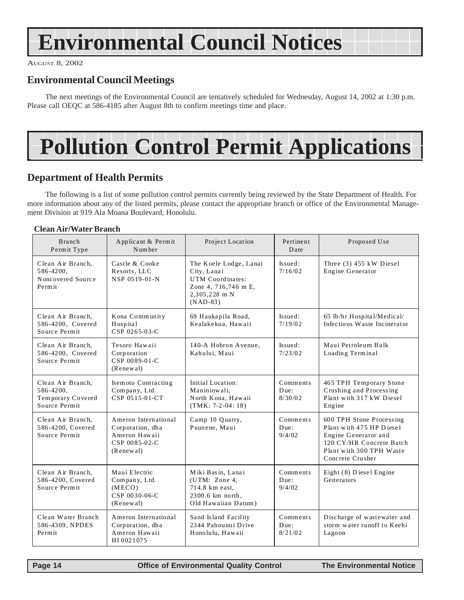# <span id="page-13-0"></span>**Environmental Council Notices**

AUGUST 8, 2002

### **Environmental Council Meetings**

The next meetings of the Environmental Council are tentatively scheduled for Wednesday, August 14, 2002 at 1:30 p.m. Please call OEQC at 586-4185 after August 8th to confirm meetings time and place.

# **Pollution Control Permit Applications**

#### **Department of Health Permits**

The following is a list of some pollution control permits currently being reviewed by the State Department of Health. For more information about any of the listed permits, please contact the appropriate branch or office of the Environmental Management Division at 919 Ala Moana Boulevard, Honolulu.

#### **Clean Air/Water Branch**

| <b>Branch</b><br>Permit Type                                         | Applicant & Permit<br>Number                                                            | Project Location                                                                                                 | Pertinent<br>Date           | Proposed Use                                                                                                                                             |
|----------------------------------------------------------------------|-----------------------------------------------------------------------------------------|------------------------------------------------------------------------------------------------------------------|-----------------------------|----------------------------------------------------------------------------------------------------------------------------------------------------------|
| Clean Air Branch.<br>586-4200,<br>Noncovered Source<br>Permit        | Castle & Cooke<br>Resorts, LLC<br>NSP 0519-01-N                                         | The Koele Lodge, Lanai<br>City, Lanai<br>UTM Coordinates:<br>Zone 4, 716,746 m E,<br>2,305,228 m N<br>$(NAD-83)$ | Issued:<br>7/16/02          | Three $(3)$ 455 kW Diesel<br>Engine Generator                                                                                                            |
| Clean Air Branch,<br>586-4200. Covered<br>Source Permit              | Kona Community<br>Hospital<br>CSP 0265-03-C                                             | 69 Haukapila Road,<br>Kealakekua. Hawaii                                                                         | Issued:<br>7/19/02          | 65 lb/hr Hospital/Medical/<br>Infectious Waste Incinerator                                                                                               |
| Clean Air Branch,<br>586-4200, Covered<br>Source Permit              | Tesoro Hawaii<br>Corporation<br>CSP 0089-01-C<br>(Renewal)                              | 140-A Hobron Avenue.<br>Kahului. Maui                                                                            | Issued:<br>7/23/02          | Maui Petroleum Bulk<br>Loading Terminal                                                                                                                  |
| Clean Air Branch,<br>586-4200,<br>Temporary Covered<br>Source Permit | Isemoto Contracting<br>Company, Ltd.<br>CSP 0515-01-CT                                  | Initial Location:<br>Maniniowali.<br>North Kona, Hawaii<br>$(TMK: 7-2-04: 18)$                                   | Comments<br>Due:<br>8/30/02 | 465 TPH Temporary Stone<br>Crushing and Processing<br>Plant with 317 kW Diesel<br>Engine                                                                 |
| Clean Air Branch,<br>586-4200, Covered<br>Source Permit              | Ameron International<br>Corporation, dba<br>Ameron Hawaii<br>CSP 0085-02-C<br>(Renewal) | Camp 10 Quarry,<br>Puunene, Maui                                                                                 | Comments<br>Due:<br>9/4/02  | 600 TPH Stone Processing<br>Plant with 475 HP Diesel<br>Engine Generator and<br>120 CY/HR Concrete Batch<br>Plant with 300 TPH Waste<br>Concrete Crusher |
| Clean Air Branch,<br>586-4200, Covered<br>Source Permit              | Maui Electric<br>Company, Ltd.<br>(MECO)<br>CSP 0030-06-C<br>(Renewal)                  | Miki Basin, Lanai<br>(UTM: Zone 4,<br>714.8 km east.<br>2300.6 km north.<br>Old Hawaiian Datum)                  | Comments<br>Due:<br>9/4/02  | Eight (8) Diesel Engine<br>Generators                                                                                                                    |
| Clean Water Branch<br>586-4309, NPDES<br>Permit                      | Ameron International<br>Corporation, dba<br>Ameron Hawaii<br>HI0021075                  | Sand Island Facility<br>2344 Pahounui Drive<br>Honolulu, Hawaii                                                  | Comments<br>Due:<br>8/21/02 | Discharge of wastewater and<br>storm water runoff to Keehi<br>Lagoon                                                                                     |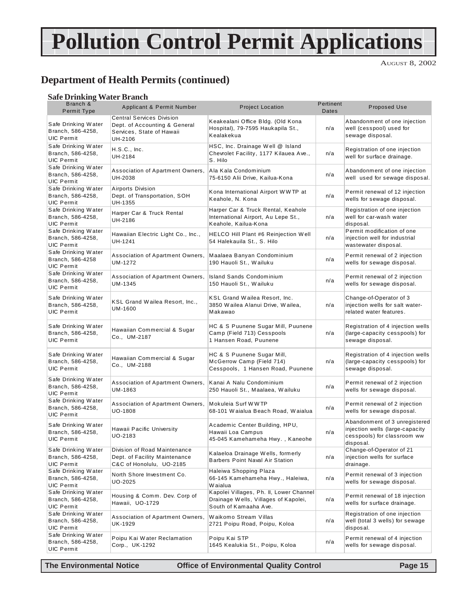# **Pollution Control Permit Applications**

AUGUST 8, 2002

### **Department of Health Permits (continued)**

#### **Safe Drinking Water Branch**

| Branch &<br>Permit Type                                       | Applicant & Permit Number                                                                                 | <b>Project Location</b>                                                                                  | Pertinent<br>Dates | Proposed Use                                                                                                 |
|---------------------------------------------------------------|-----------------------------------------------------------------------------------------------------------|----------------------------------------------------------------------------------------------------------|--------------------|--------------------------------------------------------------------------------------------------------------|
| Safe Drinking Water<br>Branch, 586-4258,<br><b>UIC Permit</b> | <b>Central Services Division</b><br>Dept. of Accounting & General<br>Services, State of Hawaii<br>UH-2106 | Keakealani Office Bldg. (Old Kona<br>Hospital), 79-7595 Haukapila St.,<br>Kealakekua                     | n/a                | Abandonment of one injection<br>well (cesspool) used for<br>sewage disposal.                                 |
| Safe Drinking Water<br>Branch, 586-4258,<br>UIC Permit        | H.S.C., Inc.<br>UH-2184                                                                                   | HSC, Inc. Drainage Well @ Island<br>Chevrolet Facility, 1177 Kilauea Ave.,<br>S. Hilo                    | n/a                | Registration of one injection<br>well for surface drainage.                                                  |
| Safe Drinking Water<br>Branch, 586-4258,<br><b>UIC Permit</b> | Association of Apartment Owners,<br>UH-2038                                                               | Ala Kala Condominium<br>75-6150 Alii Drive, Kailua-Kona                                                  | n/a                | Abandonment of one injection<br>well used for sewage disposal.                                               |
| Safe Drinking Water<br>Branch, 586-4258,<br><b>UIC Permit</b> | Airports Division<br>Dept. of Transportation, SOH<br>UH-1355                                              | Kona International Airport WWTP at<br>Keahole, N. Kona                                                   | n/a                | Permit renewal of 12 injection<br>wells for sewage disposal.                                                 |
| Safe Drinking Water<br>Branch, 586-4258,<br>UIC Permit        | Harper Car & Truck Rental<br>UH-2186                                                                      | Harper Car & Truck Rental, Keahole<br>International Airport, Au Lepe St.,<br>Keahole, Kailua-Kona        | n/a                | Registration of one injection<br>well for car-wash water<br>disposal.                                        |
| Safe Drinking Water<br>Branch, 586-4258,<br><b>UIC Permit</b> | Hawaiian Electric Light Co., Inc.,<br>UH-1241                                                             | <b>HELCO Hill Plant #6 Reinjection Well</b><br>54 Halekauila St., S. Hilo                                | n/a                | Permit modification of one<br>injection well for industrial<br>wastewater disposal.                          |
| Safe Drinking Water<br>Branch, 586-4258<br><b>UIC Permit</b>  | Association of Apartment Owners,<br>UM-1272                                                               | Maalaea Banyan Condominium<br>190 Hauoli St., Wailuku                                                    | n/a                | Permit renewal of 2 injection<br>wells for sewage disposal.                                                  |
| Safe Drinking Water<br>Branch, 586-4258,<br><b>UIC Permit</b> | Association of Apartment Owners,<br>UM-1345                                                               | Island Sands Condominium<br>150 Hauoli St., Wailuku                                                      | n/a                | Permit renewal of 2 injection<br>wells for sewage disposal.                                                  |
| Safe Drinking Water<br>Branch, 586-4258,<br><b>UIC Permit</b> | KSL Grand Wailea Resort, Inc.,<br>UM-1600                                                                 | KSL Grand Wailea Resort, Inc.<br>3850 Wailea Alanui Drive, Wailea,<br>Makawao                            | n/a                | Change-of-Operator of 3<br>injection wells for salt water-<br>related water features.                        |
| Safe Drinking Water<br>Branch, 586-4258,<br>UIC Permit        | Hawaiian Commercial & Sugar<br>Co., UM-2187                                                               | HC & S Puunene Sugar Mill, Puunene<br>Camp (Field 713) Cesspools<br>1 Hansen Road, Puunene               | n/a                | Registration of 4 injection wells<br>(large-capacity cesspools) for<br>sewage disposal.                      |
| Safe Drinking Water<br>Branch, 586-4258,<br><b>UIC Permit</b> | Hawaiian Commercial & Sugar<br>Co., UM-2188                                                               | HC & S Puunene Sugar Mill,<br>McGerrow Camp (Field 714)<br>Cesspools, 1 Hansen Road, Puunene             | n/a                | Registration of 4 injection wells<br>(large-capacity cesspools) for<br>sewage disposal.                      |
| Safe Drinking Water<br>Branch, 586-4258,<br><b>UIC Permit</b> | Association of Apartment Owners,<br>UM-1863                                                               | Kanai A Nalu Condominium<br>250 Hauoli St., Maalaea, Wailuku                                             | n/a                | Permit renewal of 2 injection<br>wells for sewage disposal.                                                  |
| Safe Drinking Water<br>Branch, 586-4258,<br><b>UIC Permit</b> | Association of Apartment Owners,<br>UO-1808                                                               | Mokuleia Surf WWTP<br>68-101 Waialua Beach Road, Waialua                                                 | n/a                | Permit renewal of 2 injection<br>wells for sewage disposal.                                                  |
| Safe Drinking Water<br>Branch, 586-4258,<br>UIC Permit        | Hawaii Pacific University<br>UO-2183                                                                      | Academic Center Building, HPU,<br>Hawaii Loa Campus<br>45-045 Kamehameha Hwy., Kaneohe                   | n/a                | Abandonment of 3 unregistered<br>injection wells (large-capacity<br>cesspools) for classroom ww<br>disposal. |
| Safe Drinking Water<br>Branch, 586-4258,<br>UIC Permit        | Division of Road Maintenance<br>Dept. of Facility Maintenance<br>C&C of Honolulu, UO-2185                 | Kalaeloa Drainage Wells, formerly<br><b>Barbers Point Naval Air Station</b>                              | n/a                | Change-of-Operator of 21<br>injection wells for surface<br>drainage.                                         |
| Safe Drinking Water<br>Branch, 586-4258,<br>UIC Permit        | North Shore Investment Co.<br>UO-2025                                                                     | Haleiwa Shopping Plaza<br>66-145 Kamehameha Hwy., Haleiwa,<br>W aialua                                   | n/a                | Permit renewal of 3 injection<br>wells for sewage disposal.                                                  |
| Safe Drinking Water<br>Branch, 586-4258,<br><b>UIC Permit</b> | Housing & Comm. Dev. Corp of<br>Hawaii, UO-1729                                                           | Kapolei Villages, Ph. II, Lower Channel<br>Drainage Wells, Villages of Kapolei,<br>South of Kamaaha Ave. | n/a                | Permit renewal of 18 injection<br>wells for surface drainage.                                                |
| Safe Drinking Water<br>Branch, 586-4258,<br><b>UIC Permit</b> | Association of Apartment Owners,<br>UK-1929                                                               | Waikomo Stream Villas<br>2721 Poipu Road, Poipu, Koloa                                                   | n/a                | Registration of one injection<br>well (total 3 wells) for sewage<br>disposal.                                |
| Safe Drinking Water<br>Branch, 586-4258,<br>UIC Permit        | Poipu Kai Water Reclamation<br>Corp., UK-1292                                                             | Poipu Kai STP<br>1645 Kealukia St., Poipu, Koloa                                                         | n/a                | Permit renewal of 4 injection<br>wells for sewage disposal.                                                  |

**The Environmental Notice Office of Environmental Quality Control Page 15**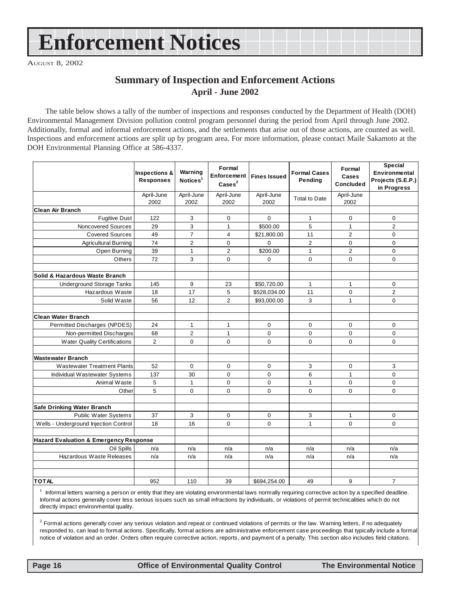# **Enforcement Notices**

AUGUST 8, 2002

#### **Summary of Inspection and Enforcement Actions April - June 2002**

The table below shows a tally of the number of inspections and responses conducted by the Department of Health (DOH) Environmental Management Division pollution control program personnel during the period from April through June 2002. Additionally, formal and informal enforcement actions, and the settlements that arise out of those actions, are counted as well. Inspections and enforcement actions are split up by program area. For more information, please contact Maile Sakamoto at the DOH Environmental Planning Office at 586-4337.

|                                                   | <b>Inspections &amp;</b><br><b>Responses</b> | Warning<br>Notices <sup>1</sup> | Formal<br>Enforcement<br>$\text{Case}$ <sup>2</sup> | <b>Fines Issued</b> | <b>Formal Cases</b><br>Pending | Formal<br>Cases<br><b>Concluded</b> | <b>Special</b><br>Environmental<br>Projects (S.E.P.)<br>in Progress |
|---------------------------------------------------|----------------------------------------------|---------------------------------|-----------------------------------------------------|---------------------|--------------------------------|-------------------------------------|---------------------------------------------------------------------|
|                                                   | April-June<br>2002                           | April-June<br>2002              | April-June<br>2002                                  | April-June<br>2002  | <b>Total to Date</b>           | April-June<br>2002                  |                                                                     |
| Clean Air Branch                                  |                                              |                                 |                                                     |                     |                                |                                     |                                                                     |
| <b>Fugitive Dust</b>                              | 122                                          | 3                               | 0                                                   | $\Omega$            | 1                              | 0                                   | 0                                                                   |
| Noncovered Sources                                | 29                                           | 3                               | $\mathbf{1}$                                        | \$500.00            | 5                              | 1                                   | $\overline{2}$                                                      |
| <b>Covered Sources</b>                            | 49                                           | $\overline{7}$                  | $\overline{4}$                                      | \$21,800.00         | 11                             | $\overline{2}$                      | $\mathbf 0$                                                         |
| <b>Agricultural Burning</b>                       | $\overline{74}$                              | $\overline{2}$                  | $\mathbf{0}$                                        | $\Omega$            | $\overline{2}$                 | 0                                   | $\overline{0}$                                                      |
| Open Burning                                      | 39                                           | $\mathbf{1}$                    | $\overline{2}$                                      | \$200.00            | $\mathbf{1}$                   | $\overline{2}$                      | $\overline{0}$                                                      |
| Others                                            | 72                                           | 3                               | $\mathbf 0$                                         | $\Omega$            | 0                              | 0                                   | $\mathbf 0$                                                         |
| Solid & Hazardous Waste Branch                    |                                              |                                 |                                                     |                     |                                |                                     |                                                                     |
| <b>Underground Storage Tanks</b>                  | 145                                          | 9                               | 23                                                  | \$50,720.00         | $\mathbf{1}$                   | $\mathbf{1}$                        | $\mathbf 0$                                                         |
| Hazardous Waste                                   | 18                                           | 17                              | 5                                                   | \$528,034.00        | 11                             | 0                                   | $\overline{2}$                                                      |
| Solid Waste                                       | 56                                           | 12                              | $\overline{2}$                                      | \$93,000.00         | 3                              | $\mathbf{1}$                        | $\mathbf 0$                                                         |
| <b>Clean Water Branch</b>                         |                                              |                                 |                                                     |                     |                                |                                     |                                                                     |
| Permitted Discharges (NPDES)                      | 24                                           | $\mathbf{1}$                    | 1                                                   | 0                   | 0                              | 0                                   | 0                                                                   |
| Non-permitted Discharges                          | 68                                           | $\overline{2}$                  | $\mathbf{1}$                                        | $\Omega$            | $\mathbf 0$                    | $\Omega$                            | 0                                                                   |
| <b>Water Quality Certifications</b>               | 2                                            | 0                               | $\mathbf 0$                                         | 0                   | $\mathbf 0$                    | 0                                   | $\mathbf 0$                                                         |
| <b>Wastewater Branch</b>                          |                                              |                                 |                                                     |                     |                                |                                     |                                                                     |
| <b>Wastewater Treatment Plants</b>                | 52                                           | 0                               | $\mathbf 0$                                         | 0                   | 3                              | 0                                   | 3                                                                   |
| Individual Wastewater Systems                     | 137                                          | 30                              | $\Omega$                                            | $\Omega$            | 6                              | $\mathbf{1}$                        | $\Omega$                                                            |
| Animal Waste                                      | 5                                            | $\mathbf{1}$                    | $\pmb{0}$                                           | 0                   | $\mathbf{1}$                   | 0                                   | 0                                                                   |
| Other                                             | 5                                            | 0                               | 0                                                   | 0                   | 0                              | $\Omega$                            | $\mathbf 0$                                                         |
|                                                   |                                              |                                 |                                                     |                     |                                |                                     |                                                                     |
| Safe Drinking Water Branch                        |                                              |                                 |                                                     |                     |                                |                                     |                                                                     |
| Public Water Systems                              | 37                                           | 3                               | 0                                                   | 0                   | 3                              | 1                                   | 0                                                                   |
| Wells - Underground Injection Control             | 18                                           | 16                              | $\mathbf 0$                                         | 0                   | $\mathbf{1}$                   | 0                                   | 0                                                                   |
| <b>Hazard Evaluation &amp; Emergency Response</b> |                                              |                                 |                                                     |                     |                                |                                     |                                                                     |
| Oil Spills                                        | n/a                                          | n/a                             | n/a                                                 | n/a                 | n/a                            | n/a                                 | n/a                                                                 |
| Hazardous Waste Releases                          | n/a                                          | n/a                             | n/a                                                 | n/a                 | n/a                            | n/a                                 | n/a                                                                 |
|                                                   |                                              |                                 |                                                     |                     |                                |                                     |                                                                     |
| <b>TOTAL</b>                                      | 952                                          | 110                             | 39                                                  | \$694,254.00        | 49                             | 9                                   | $\overline{7}$                                                      |
|                                                   |                                              |                                 |                                                     |                     |                                |                                     |                                                                     |

1 Informal letters warning a person or entity that they are violating environmental laws normally requiring corrective action by a specified deadline. Informal actions generally cover less serious issues such as small infractions by individuals, or violations of permit technicalities which do not directly impact environmental quality.

 $^2$  Formal actions generally cover any serious violation and repeat or continued violations of permits or the law. Warning letters, if no adequately responded to, can lead to formal actions. Specifically, formal actions are administrative enforcement case proceedings that typically include a formal notice of violation and an order. Orders often require corrective action, reports, and payment of a penalty. This section also includes field citations.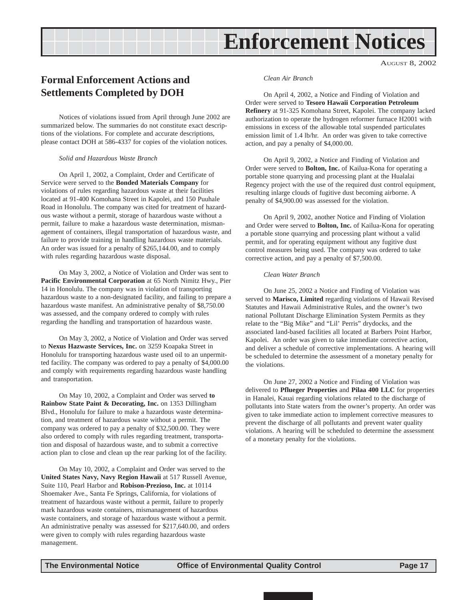# **Enforcement Notices**

AUGUST 8, 2002

### <span id="page-16-0"></span>**Formal Enforcement Actions and Settlements Completed by DOH**

Notices of violations issued from April through June 2002 are summarized below. The summaries do not constitute exact descriptions of the violations. For complete and accurate descriptions, please contact DOH at 586-4337 for copies of the violation notices.

*Solid and Hazardous Waste Branch*

On April 1, 2002, a Complaint, Order and Certificate of Service were served to the **Bonded Materials Company** for violations of rules regarding hazardous waste at their facilities located at 91-400 Komohana Street in Kapolei, and 150 Puuhale Road in Honolulu. The company was cited for treatment of hazardous waste without a permit, storage of hazardous waste without a permit, failure to make a hazardous waste determination, mismanagement of containers, illegal transportation of hazardous waste, and failure to provide training in handling hazardous waste materials. An order was issued for a penalty of \$265,144.00, and to comply with rules regarding hazardous waste disposal.

On May 3, 2002, a Notice of Violation and Order was sent to **Pacific Environmental Corporation** at 65 North Nimitz Hwy., Pier 14 in Honolulu. The company was in violation of transporting hazardous waste to a non-designated facility, and failing to prepare a hazardous waste manifest. An administrative penalty of \$8,750.00 was assessed, and the company ordered to comply with rules regarding the handling and transportation of hazardous waste.

On May 3, 2002, a Notice of Violation and Order was served to **Nexus Hazwaste Services, Inc.** on 3259 Koapaka Street in Honolulu for transporting hazardous waste used oil to an unpermitted facility. The company was ordered to pay a penalty of \$4,000.00 and comply with requirements regarding hazardous waste handling and transportation.

On May 10, 2002, a Complaint and Order was served **to Rainbow State Paint & Decorating, Inc.** on 1353 Dillingham Blvd., Honolulu for failure to make a hazardous waste determination, and treatment of hazardous waste without a permit. The company was ordered to pay a penalty of \$32,500.00. They were also ordered to comply with rules regarding treatment, transportation and disposal of hazardous waste, and to submit a corrective action plan to close and clean up the rear parking lot of the facility.

On May 10, 2002, a Complaint and Order was served to the **United States Navy, Navy Region Hawaii** at 517 Russell Avenue, Suite 110, Pearl Harbor and **Robison-Prezioso, Inc.** at 10114 Shoemaker Ave., Santa Fe Springs, California, for violations of treatment of hazardous waste without a permit, failure to properly mark hazardous waste containers, mismanagement of hazardous waste containers, and storage of hazardous waste without a permit. An administrative penalty was assessed for \$217,640.00, and orders were given to comply with rules regarding hazardous waste management.

*Clean Air Branch*

On April 4, 2002, a Notice and Finding of Violation and Order were served to **Tesoro Hawaii Corporation Petroleum Refinery** at 91-325 Komohana Street, Kapolei. The company lacked authorization to operate the hydrogen reformer furnace H2001 with emissions in excess of the allowable total suspended particulates emission limit of 1.4 lb/hr. An order was given to take corrective action, and pay a penalty of \$4,000.00.

On April 9, 2002, a Notice and Finding of Violation and Order were served to **Bolton, Inc.** of Kailua-Kona for operating a portable stone quarrying and processing plant at the Hualalai Regency project with the use of the required dust control equipment, resulting inlarge clouds of fugitive dust becoming airborne. A penalty of \$4,900.00 was assessed for the violation.

On April 9, 2002, another Notice and Finding of Violation and Order were served to **Bolton, Inc.** of Kailua-Kona for operating a portable stone quarrying and processing plant without a valid permit, and for operating equipment without any fugitive dust control measures being used. The company was ordered to take corrective action, and pay a penalty of \$7,500.00.

*Clean Water Branch*

On June 25, 2002 a Notice and Finding of Violation was served to **Marisco, Limited** regarding violations of Hawaii Revised Statutes and Hawaii Administrative Rules, and the owner's two national Pollutant Discharge Elimination System Permits as they relate to the "Big Mike" and "Lil' Perris" drydocks, and the associated land-based facilities all located at Barbers Point Harbor, Kapolei. An order was given to take immediate corrective action, and deliver a schedule of corrective implementations. A hearing will be scheduled to determine the assessment of a monetary penalty for the violations.

On June 27, 2002 a Notice and Finding of Violation was delivered to **Pflueger Properties** and **Pilaa 400 LLC** for properties in Hanalei, Kauai regarding violations related to the discharge of pollutants into State waters from the owner's property. An order was given to take immediate action to implement corrective measures to prevent the discharge of all pollutants and prevent water quality violations. A hearing will be scheduled to determine the assessment of a monetary penalty for the violations.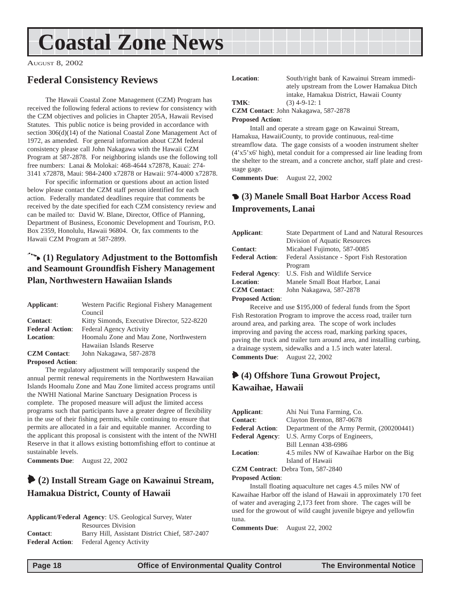# <span id="page-17-0"></span>**Coastal Zone News**

AUGUST 8, 2002

### **Federal Consistency Reviews**

The Hawaii Coastal Zone Management (CZM) Program has received the following federal actions to review for consistency with the CZM objectives and policies in Chapter 205A, Hawaii Revised Statutes. This public notice is being provided in accordance with section 306(d)(14) of the National Coastal Zone Management Act of 1972, as amended. For general information about CZM federal consistency please call John Nakagawa with the Hawaii CZM Program at 587-2878. For neighboring islands use the following toll free numbers: Lanai & Molokai: 468-4644 x72878, Kauai: 274- 3141 x72878, Maui: 984-2400 x72878 or Hawaii: 974-4000 x72878.

For specific information or questions about an action listed below please contact the CZM staff person identified for each action. Federally mandated deadlines require that comments be received by the date specified for each CZM consistency review and can be mailed to: David W. Blane, Director, Office of Planning, Department of Business, Economic Development and Tourism, P.O. Box 2359, Honolulu, Hawaii 96804. Or, fax comments to the Hawaii CZM Program at 587-2899.

#### 9 **(1) Regulatory Adjustment to the Bottomfish and Seamount Groundfish Fishery Management Plan, Northwestern Hawaiian Islands**

| Applicant:             | Western Pacific Regional Fishery Management |
|------------------------|---------------------------------------------|
|                        | Council                                     |
| <b>Contact:</b>        | Kitty Simonds, Executive Director, 522-8220 |
| <b>Federal Action:</b> | <b>Federal Agency Activity</b>              |
| <b>Location:</b>       | Hoomalu Zone and Mau Zone, Northwestern     |
|                        | Hawaiian Islands Reserve                    |
| <b>CZM</b> Contact:    | John Nakagawa, 587-2878                     |
|                        |                                             |

**Proposed Action**:

The regulatory adjustment will temporarily suspend the annual permit renewal requirements in the Northwestern Hawaiian Islands Hoomalu Zone and Mau Zone limited access programs until the NWHI National Marine Sanctuary Designation Process is complete. The proposed measure will adjust the limited access programs such that participants have a greater degree of flexibility in the use of their fishing permits, while continuing to ensure that permits are allocated in a fair and equitable manner. According to the applicant this proposal is consistent with the intent of the NWHI Reserve in that it allows existing bottomfishing effort to continue at sustainable levels.

**Comments Due**: August 22, 2002

### 6 **(2) Install Stream Gage on Kawainui Stream, Hamakua District, County of Hawaii**

|                        | <b>Applicant/Federal Agency: US. Geological Survey, Water</b> |
|------------------------|---------------------------------------------------------------|
|                        | <b>Resources Division</b>                                     |
| <b>Contact:</b>        | Barry Hill, Assistant District Chief, 587-2407                |
| <b>Federal Action:</b> | <b>Federal Agency Activity</b>                                |

Location: South/right bank of Kawainui Stream immediately upstream from the Lower Hamakua Ditch intake, Hamakua District, Hawaii County **TMK**: (3) 4-9-12: 1

**CZM Contact**: John Nakagawa, 587-2878

#### **Proposed Action**:

Intall and operate a stream gage on Kawainui Stream, Hamakua, HawaiiCounty, to provide continuous, real-time streamflow data. The gage consists of a wooden instrument shelter (4'x5'x6' high), metal conduit for a compressed air line leading from the shelter to the stream, and a concrete anchor, staff plate and creststage gage.

**Comments Due**: August 22, 2002

#### 4 **(3) Manele Small Boat Harbor Access Road Improvements, Lanai**

| Applicant:             | State Department of Land and Natural Resources |
|------------------------|------------------------------------------------|
|                        | Division of Aquatic Resources                  |
| <b>Contact:</b>        | Micahael Fujimoto, 587-0085                    |
| <b>Federal Action:</b> | Federal Assistance - Sport Fish Restoration    |
|                        | Program                                        |
| <b>Federal Agency:</b> | U.S. Fish and Wildlife Service                 |
| <b>Location:</b>       | Manele Small Boat Harbor, Lanai                |
| <b>CZM</b> Contact:    | John Nakagawa, 587-2878                        |
| Dramogod Antions       |                                                |

**Proposed Action**:

Receive and use \$195,000 of federal funds from the Sport Fish Restoration Program to improve the access road, trailer turn around area, and parking area. The scope of work includes improving and paving the access road, marking parking spaces, paving the truck and trailer turn around area, and installing curbing, a drainage system, sidewalks and a 1.5 inch water lateral. **Comments Due**: August 22, 2002

### 6 **(4) Offshore Tuna Growout Project, Kawaihae, Hawaii**

| Applicant:             | Ahi Nui Tuna Farming, Co.                  |  |  |
|------------------------|--------------------------------------------|--|--|
| <b>Contact:</b>        | Clayton Brenton, 887-0678                  |  |  |
| <b>Federal Action:</b> | Department of the Army Permit, (200200441) |  |  |
| <b>Federal Agency:</b> | U.S. Army Corps of Engineers,              |  |  |
|                        | Bill Lennan 438-6986                       |  |  |
| <b>Location:</b>       | 4.5 miles NW of Kawaihae Harbor on the Big |  |  |
|                        | Island of Hawaii                           |  |  |
|                        | <b>CZM Contract:</b> Debra Tom, 587-2840   |  |  |

**Proposed Action**:

Install floating aquaculture net cages 4.5 miles NW of Kawaihae Harbor off the island of Hawaii in approximately 170 feet of water and averaging 2,173 feet from shore. The cages will be used for the growout of wild caught juvenile bigeye and yellowfin tuna.

**Comments Due**: August 22, 2002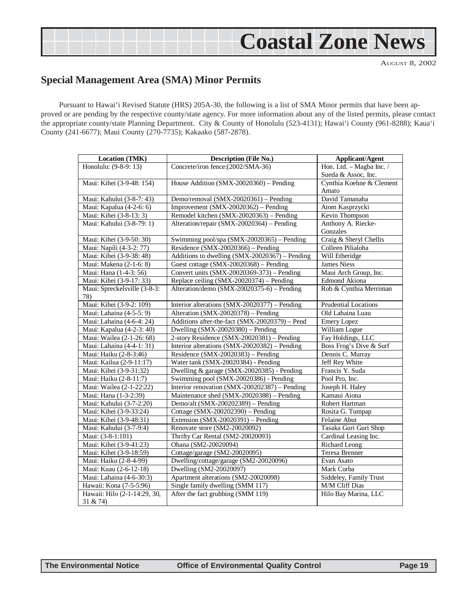# **Coastal Zone News**

AUGUST 8, 2002

### <span id="page-18-0"></span>**Special Management Area (SMA) Minor Permits**

Pursuant to Hawai'i Revised Statute (HRS) 205A-30, the following is a list of SMA Minor permits that have been approved or are pending by the respective county/state agency. For more information about any of the listed permits, please contact the appropriate county/state Planning Department. City & County of Honolulu (523-4131); Hawai'i County (961-8288); Kaua'i County (241-6677); Maui County (270-7735); Kakaako (587-2878).

| <b>Location (TMK)</b>        | <b>Description (File No.)</b>                  | <b>Applicant/Agent</b>      |
|------------------------------|------------------------------------------------|-----------------------------|
| Honolulu: (9-8-9: 13)        | Concrete/iron fence:(2002/SMA-36)              | Hon. Ltd. - Magba Inc. /    |
|                              |                                                | Sueda & Assoc, Inc.         |
| Maui: Kihei (3-9-48: 154)    | House Addition (SMX-20020360) - Pending        | Cynthia Koehne & Clement    |
|                              |                                                | Amato                       |
| Maui: Kahului (3-8-7: 43)    | Demo/removal (SMX-20020361) - Pending          | David Tamanaha              |
| Maui: Kapalua (4-2-6: 6)     | Improvement (SMX-20020362) - Pending           | Atom Kasprzycki             |
| Maui: Kihei (3-8-13: 3)      | Remodel kitchen (SMX-20020363) - Pending       | Kevin Thompson              |
| Maui: Kahului (3-8-79: 1)    | Alteration/repair (SMX-20020364) – Pending     | Anthony A. Riecke-          |
|                              |                                                | Gonzales                    |
| Maui: Kihei (3-9-50: 30)     | Swimming pool/spa (SMX-20020365) – Pending     | Craig & Sheryl Chellis      |
| Maui: Napili (4-3-2: 77)     | Residence (SMX-20020366) - Pending             | Colleen Pilialoha           |
| Maui: Kihei (3-9-38: 48)     | Additions to dwelling (SMX-20020367) - Pending | Will Etheridge              |
| Maui: Makena (2-1-6: 8)      | Guest cottage (SMX-20020368) - Pending         | <b>James Niess</b>          |
| Maui: Hana (1-4-3: 56)       | Convert units (SMX-20020369-373) - Pending     | Maui Arch Group, Inc.       |
| Maui: Kihei (3-9-17: 33)     | Replace ceiling (SMX-20020374) - Pending       | <b>Edmond Akiona</b>        |
| Maui: Spreckelsville (3-8-3: | Alteration/demo (SMX-20020375-6) – Pending     | Rob & Cynthia Merriman      |
| 78)                          |                                                |                             |
| Maui: Kihei (3-9-2: 109)     | Interior alterations (SMX-20020377) - Pending  | <b>Prudential Locations</b> |
| Maui: Lahaina (4-5-5: 9)     | Alteration (SMX-20020378) - Pending            | Old Lahaina Luau            |
| Maui: Lahaina (4-6-4: 24)    | Additions after-the-fact (SMX-20020379) - Pend | <b>Emery Lopez</b>          |
| Maui: Kapalua (4-2-3: 40)    | Dwelling $(SMX-20020380)$ – Pending            | William Logue               |
| Maui: Wailea (2-1-26: 68)    | 2-story Residence (SMX-20020381) - Pending     | Fay Holdings, LLC           |
| Maui: Lahaina (4-4-1: 31)    | Interior alterations (SMX-20020382) - Pending  | Boss Frog's Dive & Surf     |
| Maui: Haiku (2-8-3:46)       | Residence (SMX-20020383) – Pending             | Dennis C. Murray            |
| Maui: Kailua (2-9-11:17)     | Water tank (SMX-20020384) - Pending            | Jeff Rey White              |
| Maui: Kihei (3-9-31:32)      | Dwelling & garage (SMX-20020385) - Pending     | Francis Y. Suda             |
| Maui: Haiku (2-8-11:7)       | Swimming pool (SMX-20020386) - Pending         | Pool Pro, Inc.              |
| Maui: Wailea (2-1-22:22)     | Interior renovation (SMX-200202387) – Pending  | Joseph H. Haley             |
| Maui: Hana (1-3-2:39)        | Maintenance shed (SMX-20020388) - Pending      | Kamaui Aiona                |
| Maui: Kahului (3-7-2:20)     | Demo/alt (SMX-200202389) - Pending             | Robert Hartman              |
| Maui: Kihei (3-9-33:24)      | Cottage (SMX-200202390) - Pending              | Rosita G. Tumpap            |
| Maui: Kihei (3-9-48:31)      | Extension $(SMX-20020391)$ – Pending           | Felaine Abut                |
| Maui: Kahului (3-7-9:4)      | Renovate store (SM2-20020092)                  | Tasaka Guri Guri Shop       |
| Maui: (3-8-1:101)            | Thrifty Car Rental (SM2-20020093)              | Cardinal Leasing Inc.       |
| Maui: Kihei (3-9-41:23)      | Ohana (SM2-20020094)                           | <b>Richard Leong</b>        |
| Maui: Kihei (3-9-18:59)      | Cottage/garage (SM2-20020095)                  | <b>Teresa Brenner</b>       |
| Maui: Haiku (2-8-4-99)       | Dwelling/cottage/garage (SM2-20020096)         | Evan Asato                  |
| Maui: Kuau (2-6-12-18)       | Dwelling (SM2-20020097)                        | Mark Corba                  |
| Maui: Lahaina (4-6-30:3)     | Apartment alterations (SM2-20020098)           | Siddeley, Family Trust      |
| Hawaii: Kona (7-5-5:96)      | Single family dwelling (SMM 117)               | M/M Cliff Dias              |
| Hawaii: Hilo (2-1-14:29, 30, | After the fact grubbing (SMM 119)              | Hilo Bay Marina, LLC        |
| 31 & 74)                     |                                                |                             |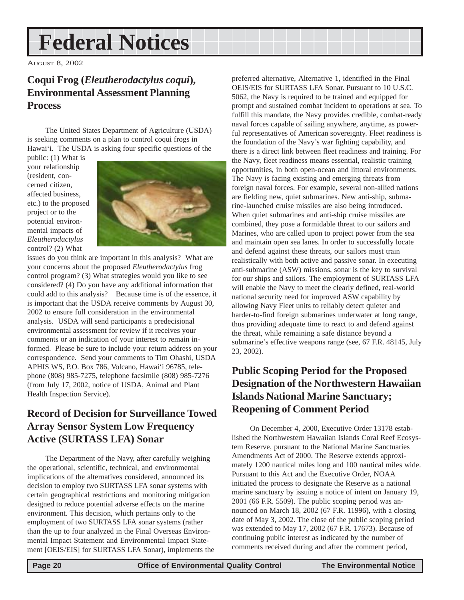# <span id="page-19-0"></span>**Federal Notices**

AUGUST 8, 2002

### **Coqui Frog (***Eleutherodactylus coqui***), Environmental Assessment Planning Process**

The United States Department of Agriculture (USDA) is seeking comments on a plan to control coqui frogs in Hawai'i. The USDA is asking four specific questions of the

public: (1) What is your relationship (resident, concerned citizen, affected business, etc.) to the proposed project or to the potential environmental impacts of *Eleutherodactylus* control? (2) What



issues do you think are important in this analysis? What are your concerns about the proposed *Eleutherodactylus* frog control program? (3) What strategies would you like to see considered? (4) Do you have any additional information that could add to this analysis? Because time is of the essence, it is important that the USDA receive comments by August 30, 2002 to ensure full consideration in the environmental analysis. USDA will send participants a predecisional environmental assessment for review if it receives your comments or an indication of your interest to remain informed. Please be sure to include your return address on your correspondence. Send your comments to Tim Ohashi, USDA APHIS WS, P.O. Box 786, Volcano, Hawai'i 96785, telephone (808) 985-7275, telephone facsimile (808) 985-7276 (from July 17, 2002, notice of USDA, Animal and Plant Health Inspection Service).

### **Record of Decision for Surveillance Towed Array Sensor System Low Frequency Active (SURTASS LFA) Sonar**

The Department of the Navy, after carefully weighing the operational, scientific, technical, and environmental implications of the alternatives considered, announced its decision to employ two SURTASS LFA sonar systems with certain geographical restrictions and monitoring mitigation designed to reduce potential adverse effects on the marine environment. This decision, which pertains only to the employment of two SURTASS LFA sonar systems (rather than the up to four analyzed in the Final Overseas Environmental Impact Statement and Environmental Impact Statement [OEIS/EIS] for SURTASS LFA Sonar), implements the preferred alternative, Alternative 1, identified in the Final OEIS/EIS for SURTASS LFA Sonar. Pursuant to 10 U.S.C. 5062, the Navy is required to be trained and equipped for prompt and sustained combat incident to operations at sea. To fulfill this mandate, the Navy provides credible, combat-ready naval forces capable of sailing anywhere, anytime, as powerful representatives of American sovereignty. Fleet readiness is the foundation of the Navy's war fighting capability, and there is a direct link between fleet readiness and training. For the Navy, fleet readiness means essential, realistic training opportunities, in both open-ocean and littoral environments. The Navy is facing existing and emerging threats from foreign naval forces. For example, several non-allied nations are fielding new, quiet submarines. New anti-ship, submarine-launched cruise missiles are also being introduced. When quiet submarines and anti-ship cruise missiles are combined, they pose a formidable threat to our sailors and Marines, who are called upon to project power from the sea and maintain open sea lanes. In order to successfully locate and defend against these threats, our sailors must train realistically with both active and passive sonar. In executing anti-submarine (ASW) missions, sonar is the key to survival for our ships and sailors. The employment of SURTASS LFA will enable the Navy to meet the clearly defined, real-world national security need for improved ASW capability by allowing Navy Fleet units to reliably detect quieter and harder-to-find foreign submarines underwater at long range, thus providing adequate time to react to and defend against the threat, while remaining a safe distance beyond a submarine's effective weapons range (see, 67 F.R. 48145, July 23, 2002).

### **Public Scoping Period for the Proposed Designation of the Northwestern Hawaiian Islands National Marine Sanctuary; Reopening of Comment Period**

On December 4, 2000, Executive Order 13178 established the Northwestern Hawaiian Islands Coral Reef Ecosystem Reserve, pursuant to the National Marine Sanctuaries Amendments Act of 2000. The Reserve extends approximately 1200 nautical miles long and 100 nautical miles wide. Pursuant to this Act and the Executive Order, NOAA initiated the process to designate the Reserve as a national marine sanctuary by issuing a notice of intent on January 19, 2001 (66 F.R. 5509). The public scoping period was announced on March 18, 2002 (67 F.R. 11996), with a closing date of May 3, 2002. The close of the public scoping period was extended to May 17, 2002 (67 F.R. 17673). Because of continuing public interest as indicated by the number of comments received during and after the comment period,